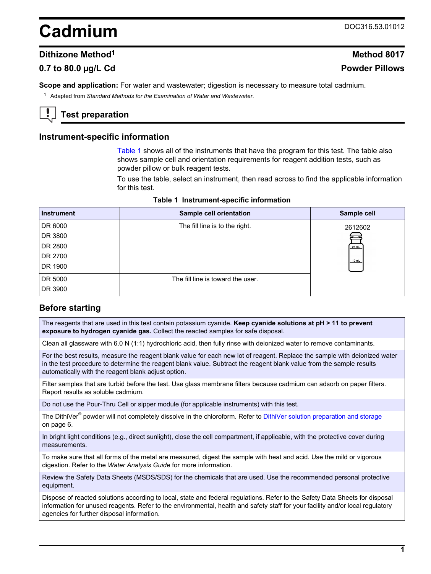# <span id="page-0-0"></span>**Cadmium** DOC316.53.01012

## **Dithizone Method<sup>1</sup> Method 8017**

## **0.7 to 80.0 µg/L Cd Powder Pillows**

**Scope and application:** For water and wastewater; digestion is necessary to measure total cadmium.

<sup>1</sup> Adapted from *Standard Methods for the Examination of Water and Wastewater*.

# **Test preparation**

#### **Instrument-specific information**

Table 1 shows all of the instruments that have the program for this test. The table also shows sample cell and orientation requirements for reagent addition tests, such as powder pillow or bulk reagent tests.

To use the table, select an instrument, then read across to find the applicable information for this test.

| <b>Instrument</b> | Sample cell orientation           | Sample cell |
|-------------------|-----------------------------------|-------------|
| DR 6000           | The fill line is to the right.    | 2612602     |
| DR 3800           |                                   |             |
| DR 2800           |                                   | 25 mL       |
| DR 2700           |                                   | 10 mL       |
| DR 1900           |                                   |             |
| DR 5000           | The fill line is toward the user. |             |
| DR 3900           |                                   |             |

## **Before starting**

The reagents that are used in this test contain potassium cyanide. **Keep cyanide solutions at pH > 11 to prevent exposure to hydrogen cyanide gas.** Collect the reacted samples for safe disposal.

Clean all glassware with 6.0 N (1:1) hydrochloric acid, then fully rinse with deionized water to remove contaminants.

For the best results, measure the reagent blank value for each new lot of reagent. Replace the sample with deionized water in the test procedure to determine the reagent blank value. Subtract the reagent blank value from the sample results automatically with the reagent blank adjust option.

Filter samples that are turbid before the test. Use glass membrane filters because cadmium can adsorb on paper filters. Report results as soluble cadmium.

Do not use the Pour-Thru Cell or sipper module (for applicable instruments) with this test.

The DithiVer<sup>®</sup> powder will not completely dissolve in the chloroform. Refer to [DithiVer solution preparation and storage](#page-5-0) on page 6.

In bright light conditions (e.g., direct sunlight), close the cell compartment, if applicable, with the protective cover during measurements.

To make sure that all forms of the metal are measured, digest the sample with heat and acid. Use the mild or vigorous digestion. Refer to the *Water Analysis Guide* for more information.

Review the Safety Data Sheets (MSDS/SDS) for the chemicals that are used. Use the recommended personal protective equipment.

Dispose of reacted solutions according to local, state and federal regulations. Refer to the Safety Data Sheets for disposal information for unused reagents. Refer to the environmental, health and safety staff for your facility and/or local regulatory agencies for further disposal information.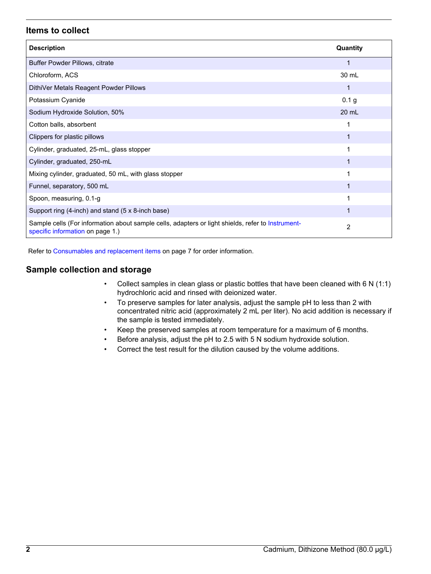## **Items to collect**

| <b>Description</b>                                                                                                                    | Quantity |
|---------------------------------------------------------------------------------------------------------------------------------------|----------|
| Buffer Powder Pillows, citrate                                                                                                        |          |
| Chloroform, ACS                                                                                                                       | 30 mL    |
| DithiVer Metals Reagent Powder Pillows                                                                                                | 1        |
| Potassium Cyanide                                                                                                                     | 0.1 g    |
| Sodium Hydroxide Solution, 50%                                                                                                        | 20 mL    |
| Cotton balls, absorbent                                                                                                               |          |
| Clippers for plastic pillows                                                                                                          |          |
| Cylinder, graduated, 25-mL, glass stopper                                                                                             |          |
| Cylinder, graduated, 250-mL                                                                                                           |          |
| Mixing cylinder, graduated, 50 mL, with glass stopper                                                                                 |          |
| Funnel, separatory, 500 mL                                                                                                            |          |
| Spoon, measuring, 0.1-g                                                                                                               |          |
| Support ring (4-inch) and stand (5 x 8-inch base)                                                                                     |          |
| Sample cells (For information about sample cells, adapters or light shields, refer to Instrument-<br>specific information on page 1.) | 2        |

Refer to [Consumables and replacement items](#page-6-0) on page 7 for order information.

## **Sample collection and storage**

- Collect samples in clean glass or plastic bottles that have been cleaned with 6 N (1:1) hydrochloric acid and rinsed with deionized water.
- To preserve samples for later analysis, adjust the sample pH to less than 2 with concentrated nitric acid (approximately 2 mL per liter). No acid addition is necessary if the sample is tested immediately.
- Keep the preserved samples at room temperature for a maximum of 6 months.
- Before analysis, adjust the pH to 2.5 with 5 N sodium hydroxide solution.
- Correct the test result for the dilution caused by the volume additions.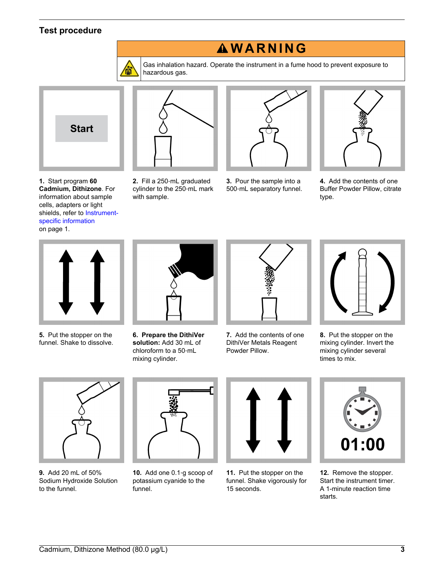# <span id="page-2-0"></span>**Test procedure**



Gas inhalation hazard. Operate the instrument in a fume hood to prevent exposure to hazardous gas.

**W A R N I N G**



**1.** Start program **60 Cadmium, Dithizone**. For information about sample cells, adapters or light shields, refer to [Instrument](#page-0-0)[specific information](#page-0-0) on page 1.



**2.** Fill a 250‑mL graduated cylinder to the 250‑mL mark

with sample.



**3.** Pour the sample into a 500‑mL separatory funnel.



**4.** Add the contents of one Buffer Powder Pillow, citrate type.



**5.** Put the stopper on the funnel. Shake to dissolve.



**6. Prepare the DithiVer solution:** Add 30 mL of chloroform to a 50‑mL mixing cylinder.



**7.** Add the contents of one DithiVer Metals Reagent Powder Pillow.



**8.** Put the stopper on the mixing cylinder. Invert the mixing cylinder several times to mix.



**9.** Add 20 mL of 50% Sodium Hydroxide Solution to the funnel.



**10.** Add one 0.1‑g scoop of potassium cyanide to the funnel.



**11.** Put the stopper on the funnel. Shake vigorously for 15 seconds.



**12.** Remove the stopper. Start the instrument timer. A 1-minute reaction time starts.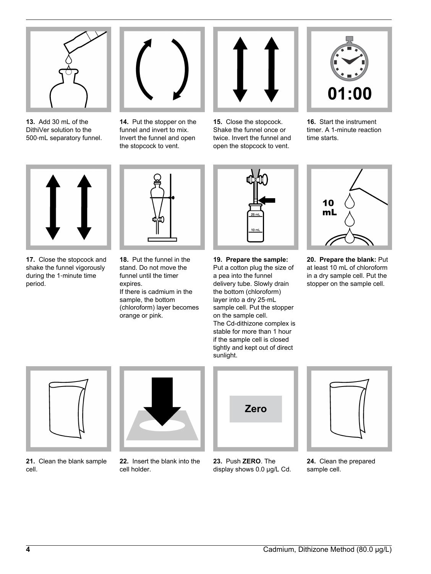<span id="page-3-0"></span>

**13.** Add 30 mL of the DithiVer solution to the 500‑mL separatory funnel.



**14.** Put the stopper on the funnel and invert to mix. Invert the funnel and open the stopcock to vent.



**15.** Close the stopcock. Shake the funnel once or twice. Invert the funnel and open the stopcock to vent.



**16.** Start the instrument timer. A 1-minute reaction time starts.



**17.** Close the stopcock and shake the funnel vigorously during the 1‑minute time period.



**18.** Put the funnel in the stand. Do not move the funnel until the timer expires. If there is cadmium in the sample, the bottom (chloroform) layer becomes orange or pink.



**19. Prepare the sample:** Put a cotton plug the size of a pea into the funnel delivery tube. Slowly drain the bottom (chloroform) layer into a dry 25‑mL sample cell. Put the stopper on the sample cell. The Cd-dithizone complex is stable for more than 1 hour if the sample cell is closed tightly and kept out of direct sunlight.



**20. Prepare the blank:** Put at least 10 mL of chloroform in a dry sample cell. Put the stopper on the sample cell.



**21.** Clean the blank sample cell.



**22.** Insert the blank into the cell holder.



**23.** Push **ZERO**. The display shows 0.0 µg/L Cd.



**24.** Clean the prepared sample cell.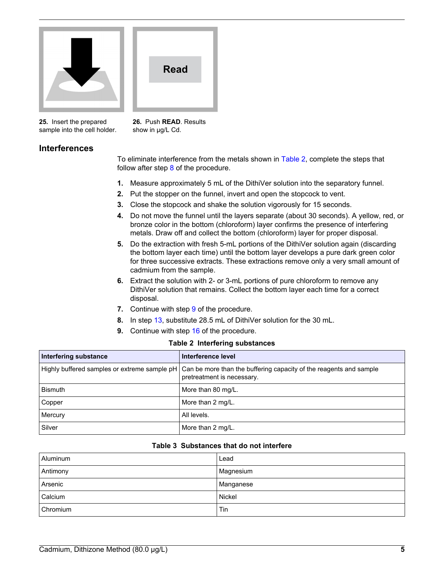



**25.** Insert the prepared sample into the cell holder.

**26.** Push **READ**. Results show in  $\mu$ g/L Cd.

## **Interferences**

To eliminate interference from the metals shown in Table 2, complete the steps that follow after step  $8$  of the procedure.

- **1.** Measure approximately 5 mL of the DithiVer solution into the separatory funnel.
- **2.** Put the stopper on the funnel, invert and open the stopcock to vent.
- **3.** Close the stopcock and shake the solution vigorously for 15 seconds.
- **4.** Do not move the funnel until the layers separate (about 30 seconds). A yellow, red, or bronze color in the bottom (chloroform) layer confirms the presence of interfering metals. Draw off and collect the bottom (chloroform) layer for proper disposal.
- **5.** Do the extraction with fresh 5-mL portions of the DithiVer solution again (discarding the bottom layer each time) until the bottom layer develops a pure dark green color for three successive extracts. These extractions remove only a very small amount of cadmium from the sample.
- **6.** Extract the solution with 2- or 3-mL portions of pure chloroform to remove any DithiVer solution that remains. Collect the bottom layer each time for a correct disposal.
- **7.** Continue with step [9](#page-2-0) of the procedure.
- **8.** In step [13,](#page-3-0) substitute 28.5 mL of DithiVer solution for the 30 mL.
- **9.** Continue with step [16](#page-3-0) of the procedure.

#### **Table 2 Interfering substances**

| Interfering substance                        | Interference level                                                                               |
|----------------------------------------------|--------------------------------------------------------------------------------------------------|
| Highly buffered samples or extreme sample pH | Can be more than the buffering capacity of the reagents and sample<br>pretreatment is necessary. |
| <b>Bismuth</b>                               | More than 80 mg/L.                                                                               |
| Copper                                       | More than 2 mg/L.                                                                                |
| Mercury                                      | All levels.                                                                                      |
| Silver                                       | More than 2 mg/L.                                                                                |

#### **Table 3 Substances that do not interfere**

| Aluminum | Lead      |
|----------|-----------|
| Antimony | Magnesium |
| Arsenic  | Manganese |
| Calcium  | Nickel    |
| Chromium | Tin       |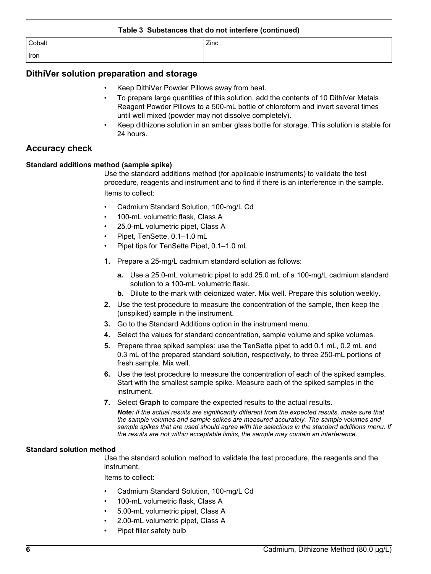# <span id="page-5-0"></span>**Table 3 Substances that do not interfere (continued)** Cobalt Zinc Iron

#### **DithiVer solution preparation and storage**

- Keep DithiVer Powder Pillows away from heat.
- To prepare large quantities of this solution, add the contents of 10 DithiVer Metals Reagent Powder Pillows to a 500-mL bottle of chloroform and invert several times until well mixed (powder may not dissolve completely).
- Keep dithizone solution in an amber glass bottle for storage. This solution is stable for 24 hours.

## **Accuracy check**

#### **Standard additions method (sample spike)**

Use the standard additions method (for applicable instruments) to validate the test procedure, reagents and instrument and to find if there is an interference in the sample. Items to collect:

- Cadmium Standard Solution, 100-mg/L Cd
- 100-mL volumetric flask, Class A
- 25.0-mL volumetric pipet, Class A
- Pipet, TenSette, 0.1–1.0 mL
- Pipet tips for TenSette Pipet, 0.1–1.0 mL
- **1.** Prepare a 25-mg/L cadmium standard solution as follows:
	- **a.** Use a 25.0-mL volumetric pipet to add 25.0 mL of a 100-mg/L cadmium standard solution to a 100-mL volumetric flask.
	- **b.** Dilute to the mark with deionized water. Mix well. Prepare this solution weekly.
- **2.** Use the test procedure to measure the concentration of the sample, then keep the (unspiked) sample in the instrument.
- **3.** Go to the Standard Additions option in the instrument menu.
- **4.** Select the values for standard concentration, sample volume and spike volumes.
- **5.** Prepare three spiked samples: use the TenSette pipet to add 0.1 mL, 0.2 mL and 0.3 mL of the prepared standard solution, respectively, to three 250-mL portions of fresh sample. Mix well.
- **6.** Use the test procedure to measure the concentration of each of the spiked samples. Start with the smallest sample spike. Measure each of the spiked samples in the instrument.
- **7.** Select **Graph** to compare the expected results to the actual results.

*Note: If the actual results are significantly different from the expected results, make sure that the sample volumes and sample spikes are measured accurately. The sample volumes and sample spikes that are used should agree with the selections in the standard additions menu. If the results are not within acceptable limits, the sample may contain an interference.*

#### **Standard solution method**

Use the standard solution method to validate the test procedure, the reagents and the instrument.

Items to collect:

- Cadmium Standard Solution, 100-mg/L Cd
- 100-mL volumetric flask, Class A
- 5.00-mL volumetric pipet, Class A
- 2.00-mL volumetric pipet, Class A
- Pipet filler safety bulb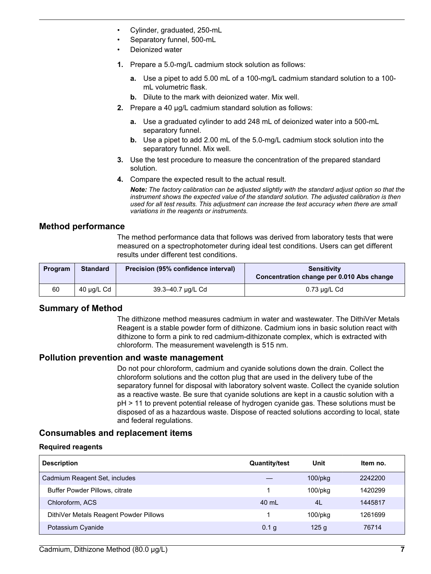- <span id="page-6-0"></span>• Cylinder, graduated, 250-mL
- Separatory funnel, 500-mL
- Deionized water
- **1.** Prepare a 5.0-mg/L cadmium stock solution as follows:
	- **a.** Use a pipet to add 5.00 mL of a 100-mg/L cadmium standard solution to a 100 mL volumetric flask.
	- **b.** Dilute to the mark with deionized water. Mix well.
- **2.** Prepare a 40 µg/L cadmium standard solution as follows:
	- **a.** Use a graduated cylinder to add 248 mL of deionized water into a 500-mL separatory funnel.
	- **b.** Use a pipet to add 2.00 mL of the 5.0-mg/L cadmium stock solution into the separatory funnel. Mix well.
- **3.** Use the test procedure to measure the concentration of the prepared standard solution.
- **4.** Compare the expected result to the actual result.

*Note: The factory calibration can be adjusted slightly with the standard adjust option so that the instrument shows the expected value of the standard solution. The adjusted calibration is then used for all test results. This adjustment can increase the test accuracy when there are small variations in the reagents or instruments.*

# **Method performance**

The method performance data that follows was derived from laboratory tests that were measured on a spectrophotometer during ideal test conditions. Users can get different results under different test conditions.

| Program | <b>Standard</b> | Precision (95% confidence interval) | Sensitivity<br>Concentration change per 0.010 Abs change |
|---------|-----------------|-------------------------------------|----------------------------------------------------------|
| 60      | 40 µg/L Cd      | 39.3–40.7 µg/L Cd                   | 0.73 µg/L Cd                                             |

## **Summary of Method**

The dithizone method measures cadmium in water and wastewater. The DithiVer Metals Reagent is a stable powder form of dithizone. Cadmium ions in basic solution react with dithizone to form a pink to red cadmium-dithizonate complex, which is extracted with chloroform. The measurement wavelength is 515 nm.

## **Pollution prevention and waste management**

Do not pour chloroform, cadmium and cyanide solutions down the drain. Collect the chloroform solutions and the cotton plug that are used in the delivery tube of the separatory funnel for disposal with laboratory solvent waste. Collect the cyanide solution as a reactive waste. Be sure that cyanide solutions are kept in a caustic solution with a pH > 11 to prevent potential release of hydrogen cyanide gas. These solutions must be disposed of as a hazardous waste. Dispose of reacted solutions according to local, state and federal regulations.

# **Consumables and replacement items**

#### **Required reagents**

| <b>Description</b>                     | <b>Quantity/test</b> | Unit          | Item no. |
|----------------------------------------|----------------------|---------------|----------|
| Cadmium Reagent Set, includes          |                      | $100$ /p $kg$ | 2242200  |
| <b>Buffer Powder Pillows, citrate</b>  |                      | $100$ /p $kg$ | 1420299  |
| Chloroform, ACS                        | 40 mL                | 4L            | 1445817  |
| DithiVer Metals Reagent Powder Pillows |                      | $100$ /p $kg$ | 1261699  |
| Potassium Cyanide                      | 0.1 g                | 125q          | 76714    |